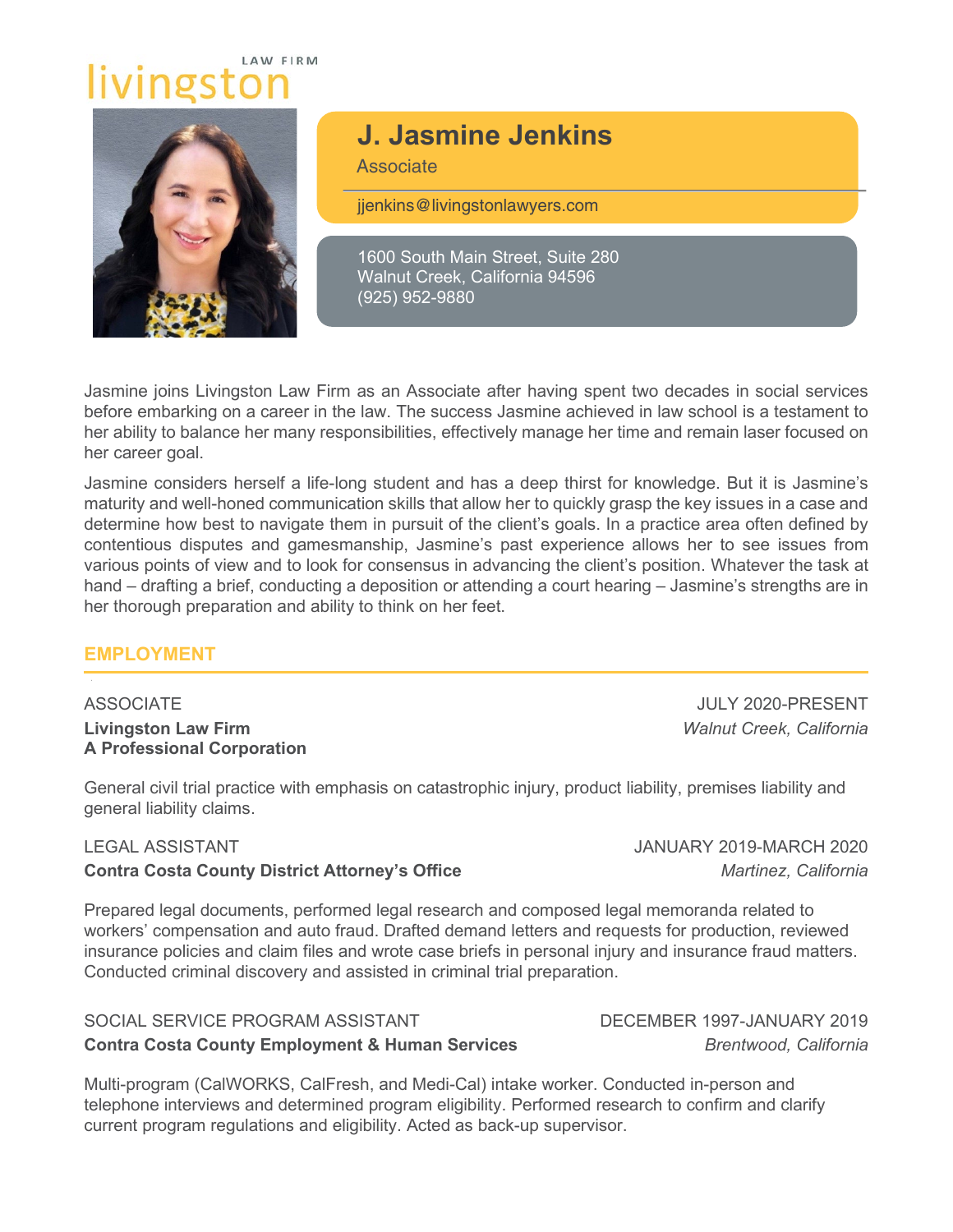# **I AW FIRM** livingsto



# **J. Jasmine Jenkins**

**Associate** 

jjenkins@livingstonlawyers.com

1600 South Main Street, Suite 280 Walnut Creek, California 94596 (925) 952-9880

Jasmine joins Livingston Law Firm as an Associate after having spent two decades in social services before embarking on a career in the law. The success Jasmine achieved in law school is a testament to her ability to balance her many responsibilities, effectively manage her time and remain laser focused on her career goal.

Jasmine considers herself a life-long student and has a deep thirst for knowledge. But it is Jasmine's maturity and well-honed communication skills that allow her to quickly grasp the key issues in a case and determine how best to navigate them in pursuit of the client's goals. In a practice area often defined by contentious disputes and gamesmanship, Jasmine's past experience allows her to see issues from various points of view and to look for consensus in advancing the client's position. Whatever the task at hand – drafting a brief, conducting a deposition or attending a court hearing – Jasmine's strengths are in her thorough preparation and ability to think on her feet.

#### **EMPLOYMENT**

ASSOCIATE JULY 2020-PRESENT **Livingston Law Firm** *Walnut Creek, California* **A Professional Corporation**

General civil trial practice with emphasis on catastrophic injury, product liability, premises liability and general liability claims.

#### **Contra Costa County District Attorney's Office** *Martinez, California*

Prepared legal documents, performed legal research and composed legal memoranda related to workers' compensation and auto fraud. Drafted demand letters and requests for production, reviewed insurance policies and claim files and wrote case briefs in personal injury and insurance fraud matters. Conducted criminal discovery and assisted in criminal trial preparation.

## SOCIAL SERVICE PROGRAM ASSISTANT DECEMBER 1997-JANUARY 2019 **Contra Costa County Employment & Human Services** *Brentwood, California*

Multi-program (CalWORKS, CalFresh, and Medi-Cal) intake worker. Conducted in-person and telephone interviews and determined program eligibility. Performed research to confirm and clarify current program regulations and eligibility. Acted as back-up supervisor.

LEGAL ASSISTANT JANUARY 2019-MARCH 2020